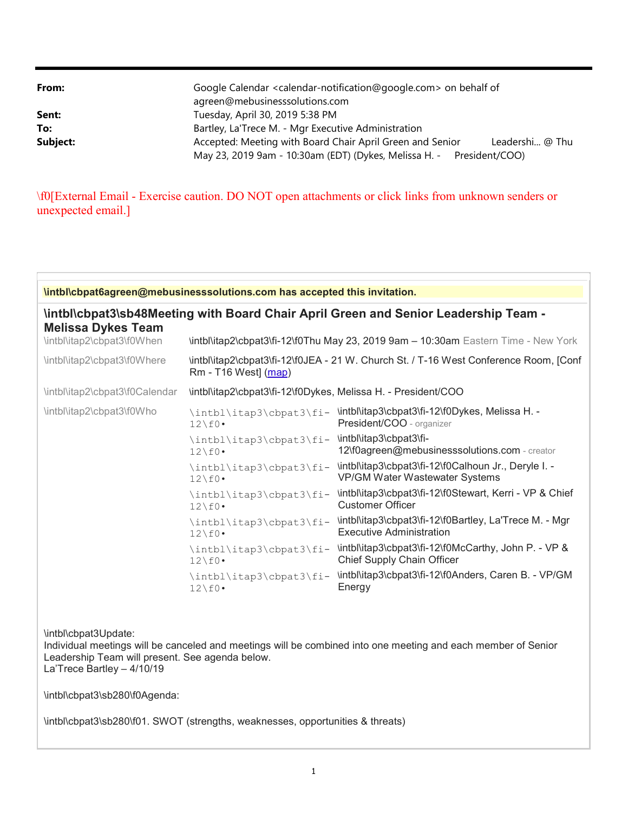| From:    | Google Calendar <calendar-notification@google.com> on behalf of<br/>agreen@mebusinesssolutions.com</calendar-notification@google.com>                |  |  |
|----------|------------------------------------------------------------------------------------------------------------------------------------------------------|--|--|
| Sent:    | Tuesday, April 30, 2019 5:38 PM                                                                                                                      |  |  |
| To:      | Bartley, La'Trece M. - Mgr Executive Administration                                                                                                  |  |  |
| Subject: | Accepted: Meeting with Board Chair April Green and Senior<br>Leadershi @ Thu<br>May 23, 2019 9am - 10:30am (EDT) (Dykes, Melissa H. - President/COO) |  |  |

\f0[External Email - Exercise caution. DO NOT open attachments or click links from unknown senders or unexpected email.]

| <b>\intbl\cbpat6agreen@mebusinesssolutions.com has accepted this invitation.</b>                                        |                                                                                                               |                                                                                               |  |
|-------------------------------------------------------------------------------------------------------------------------|---------------------------------------------------------------------------------------------------------------|-----------------------------------------------------------------------------------------------|--|
| <b>\intbl\cbpat3\sb48Meeting with Board Chair April Green and Senior Leadership Team -</b><br><b>Melissa Dykes Team</b> |                                                                                                               |                                                                                               |  |
| \intbl\itap2\cbpat3\f0When                                                                                              | \intbl\itap2\cbpat3\fi-12\f0Thu May 23, 2019 9am - 10:30am Eastern Time - New York                            |                                                                                               |  |
| \intbl\itap2\cbpat3\f0Where                                                                                             | \intbl\itap2\cbpat3\fi-12\f0JEA - 21 W. Church St. / T-16 West Conference Room, [Conf<br>Rm - T16 West] (map) |                                                                                               |  |
| \intbl\itap2\cbpat3\f0Calendar                                                                                          | \intbl\itap2\cbpat3\fi-12\f0Dykes, Melissa H. - President/COO                                                 |                                                                                               |  |
| \intbl\itap2\cbpat3\f0Who                                                                                               | \intbl\itap3\cbpat3\fi-<br>$12\backslash f0$ .                                                                | \intbl\itap3\cbpat3\fi-12\f0Dykes, Melissa H. -<br>President/COO - organizer                  |  |
|                                                                                                                         | \intbl\itap3\cbpat3\fi-<br>$12\backslash f0$ .                                                                | \intbl\itap3\cbpat3\fi-<br>12\f0agreen@mebusinesssolutions.com - creator                      |  |
|                                                                                                                         | \intbl\itap3\cbpat3\fi-<br>$12\backslash f0$ .                                                                | \intbl\itap3\cbpat3\fi-12\f0Calhoun Jr., Deryle I. -<br><b>VP/GM Water Wastewater Systems</b> |  |
|                                                                                                                         | \intbl\itap3\cbpat3\fi-<br>$12\backslash f0$                                                                  | \intbl\itap3\cbpat3\fi-12\f0Stewart, Kerri - VP & Chief<br><b>Customer Officer</b>            |  |
|                                                                                                                         | \intbl\itap3\cbpat3\fi-<br>$12\backslash f0$                                                                  | \intbl\itap3\cbpat3\fi-12\f0Bartley, La'Trece M. - Mgr<br><b>Executive Administration</b>     |  |
|                                                                                                                         | \intbl\itap3\cbpat3\fi-<br>$12\backslash f0$ .                                                                | \intbl\itap3\cbpat3\fi-12\f0McCarthy, John P. - VP &<br>Chief Supply Chain Officer            |  |
|                                                                                                                         | \intbl\itap3\cbpat3\fi-<br>$12\backslash f0$ .                                                                | \intbl\itap3\cbpat3\fi-12\f0Anders, Caren B. - VP/GM<br>Energy                                |  |

\intbl\cbpat3Update:

Individual meetings will be canceled and meetings will be combined into one meeting and each member of Senior Leadership Team will present. See agenda below. La'Trece Bartley – 4/10/19

\intbl\cbpat3\sb280\f0Agenda:

\intbl\cbpat3\sb280\f01. SWOT (strengths, weaknesses, opportunities & threats)